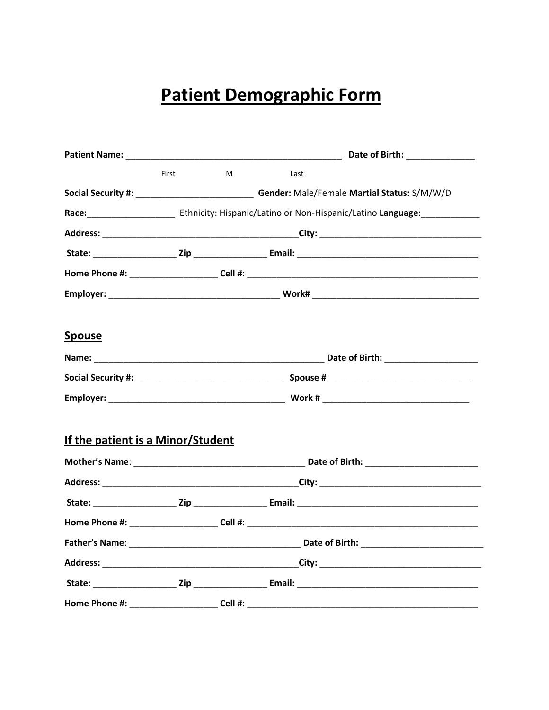## **Patient Demographic Form**

|                                   |       |   | Date of Birth: Note that the state of Birth:                                                                                                                                                                                   |  |  |  |
|-----------------------------------|-------|---|--------------------------------------------------------------------------------------------------------------------------------------------------------------------------------------------------------------------------------|--|--|--|
|                                   | First | M | Last                                                                                                                                                                                                                           |  |  |  |
|                                   |       |   | Social Security #: ________________________________Gender: Male/Female Martial Status: S/M/W/D                                                                                                                                 |  |  |  |
|                                   |       |   |                                                                                                                                                                                                                                |  |  |  |
|                                   |       |   |                                                                                                                                                                                                                                |  |  |  |
|                                   |       |   |                                                                                                                                                                                                                                |  |  |  |
|                                   |       |   |                                                                                                                                                                                                                                |  |  |  |
|                                   |       |   |                                                                                                                                                                                                                                |  |  |  |
| <b>Spouse</b>                     |       |   |                                                                                                                                                                                                                                |  |  |  |
|                                   |       |   | Name: University of Date of Birth: University of Birth: University of Birth: University of Birth: University of Birth: University of Birth: University of Birth: University of Birth: University of Birth: University of Birth |  |  |  |
|                                   |       |   |                                                                                                                                                                                                                                |  |  |  |
|                                   |       |   |                                                                                                                                                                                                                                |  |  |  |
| If the patient is a Minor/Student |       |   |                                                                                                                                                                                                                                |  |  |  |
|                                   |       |   |                                                                                                                                                                                                                                |  |  |  |
|                                   |       |   |                                                                                                                                                                                                                                |  |  |  |
|                                   |       |   |                                                                                                                                                                                                                                |  |  |  |
|                                   |       |   |                                                                                                                                                                                                                                |  |  |  |
|                                   |       |   |                                                                                                                                                                                                                                |  |  |  |
|                                   |       |   |                                                                                                                                                                                                                                |  |  |  |
|                                   |       |   |                                                                                                                                                                                                                                |  |  |  |
|                                   |       |   |                                                                                                                                                                                                                                |  |  |  |